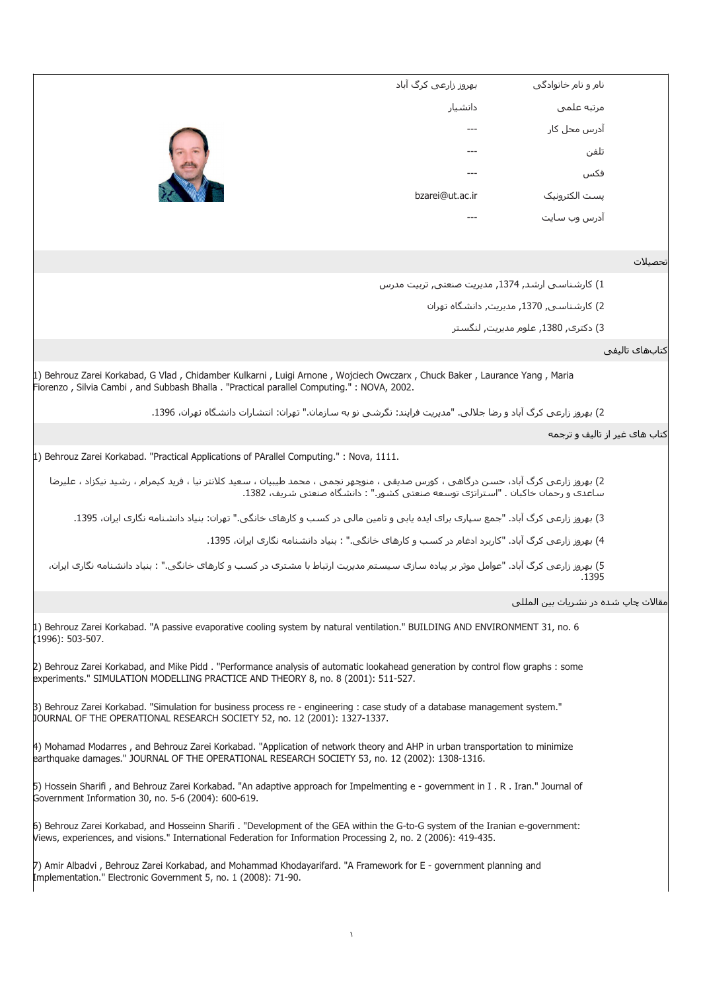|                               | نام و نام خانوادگی                               | بھروز زارعی کرگ آباد                                                                                                                                                                                                                              |
|-------------------------------|--------------------------------------------------|---------------------------------------------------------------------------------------------------------------------------------------------------------------------------------------------------------------------------------------------------|
|                               | مرتبه علمي                                       | دانشيار                                                                                                                                                                                                                                           |
|                               | آدرس محل کار                                     |                                                                                                                                                                                                                                                   |
|                               | تلفن                                             |                                                                                                                                                                                                                                                   |
|                               | فكس                                              |                                                                                                                                                                                                                                                   |
|                               | پست الکترونیک                                    | bzarei@ut.ac.ir                                                                                                                                                                                                                                   |
|                               | آدرس وب سایت                                     |                                                                                                                                                                                                                                                   |
|                               |                                                  |                                                                                                                                                                                                                                                   |
| تحصىلات                       |                                                  |                                                                                                                                                                                                                                                   |
|                               | 1) کارشناسی ارشد, 1374, مدیریت صنعتی, تربیت مدرس |                                                                                                                                                                                                                                                   |
|                               | 2) كارشناسپي 1370, مديريت, دانشگاه تهران         |                                                                                                                                                                                                                                                   |
|                               | 3) دکترې, 1380, علوم مديريت, لنگستر              |                                                                                                                                                                                                                                                   |
| كتابهاف تاليفي                |                                                  |                                                                                                                                                                                                                                                   |
|                               |                                                  | 1) Behrouz Zarei Korkabad, G Vlad, Chidamber Kulkarni, Luigi Arnone, Wojciech Owczarx, Chuck Baker, Laurance Yang, Maria<br>Fiorenzo, Silvia Cambi, and Subbash Bhalla . "Practical parallel Computing." : NOVA, 2002.                            |
|                               |                                                  | 2) بهروز زارعي كرگ آباد و رضا جلالي. "مديريت فرايند: نگرشي نو به سازمان." تهران: انتشارات دانشگاه تهران، 1396.                                                                                                                                    |
| کتاب هاک غیر از تالیف و ترجمه |                                                  |                                                                                                                                                                                                                                                   |
|                               |                                                  | [1] Behrouz Zarei Korkabad. "Practical Applications of PArallel Computing." : Nova, 1111.                                                                                                                                                         |
|                               |                                                  | 2) بهروز زارعی کرگ آباد، حسن درگاهی ، کورس صدیقی ، منوچهر نجمی ، محمد طیبیان ، سعید کلانتر نیا ، فرید کیمرام ، رشید نیکزاد ، علیرضا<br>ساعدک و رحمان خاکبان . "استراتژی توسعه صنعتی کشور." : دانشگاه صنعتی شریف، 1382.                            |
|                               |                                                  | 3) بهروز زارعی کرگ آباد. "جمع سپارک براک ایده یابی و تامین مالی در کسب و کارهاک خانگی." تهران: بنیاد دانشنامه نگاری ایران، 1395.                                                                                                                  |
|                               |                                                  | 4) بهروز زارعی کرگ آباد. "کاربرد ادغام در کسب و کارهای خانگی." : بنیاد دانشنامه نگاری ایران، 1395.                                                                                                                                                |
|                               | .1395                                            | 5) بهروز زارعی کرگ آباد. "عوامل موثر بر پیاده سازی سیستم مدیریت ارتباط با مشتری در کسب و کارهای خانگی." : بنیاد دانشنامه نگاری ایران،                                                                                                             |
|                               | مقالات چاپ شده در نشریات بین المللی              |                                                                                                                                                                                                                                                   |
|                               |                                                  |                                                                                                                                                                                                                                                   |
|                               |                                                  | 1) Behrouz Zarei Korkabad. "A passive evaporative cooling system by natural ventilation." BUILDING AND ENVIRONMENT 31, no. 6<br>(1996): 503-507.                                                                                                  |
|                               |                                                  | 2) Behrouz Zarei Korkabad, and Mike Pidd. "Performance analysis of automatic lookahead generation by control flow graphs: some<br>experiments." SIMULATION MODELLING PRACTICE AND THEORY 8, no. 8 (2001): 511-527.                                |
|                               |                                                  | [3] Behrouz Zarei Korkabad. "Simulation for business process re - engineering : case study of a database management system."<br>JOURNAL OF THE OPERATIONAL RESEARCH SOCIETY 52, no. 12 (2001): 1327-1337.                                         |
|                               |                                                  | 4) Mohamad Modarres, and Behrouz Zarei Korkabad. "Application of network theory and AHP in urban transportation to minimize<br>earthquake damages." JOURNAL OF THE OPERATIONAL RESEARCH SOCIETY 53, no. 12 (2002): 1308-1316.                     |
|                               |                                                  | [5] Hossein Sharifi, and Behrouz Zarei Korkabad. "An adaptive approach for Impelmenting e - government in I.R. Iran." Journal of<br>Government Information 30, no. 5-6 (2004): 600-619.                                                           |
|                               |                                                  | 6) Behrouz Zarei Korkabad, and Hosseinn Sharifi. "Development of the GEA within the G-to-G system of the Iranian e-government:<br>Views, experiences, and visions." International Federation for Information Processing 2, no. 2 (2006): 419-435. |
|                               |                                                  | 7) Amir Albadvi, Behrouz Zarei Korkabad, and Mohammad Khodayarifard. "A Framework for E - government planning and<br>Implementation." Electronic Government 5, no. 1 (2008): 71-90.                                                               |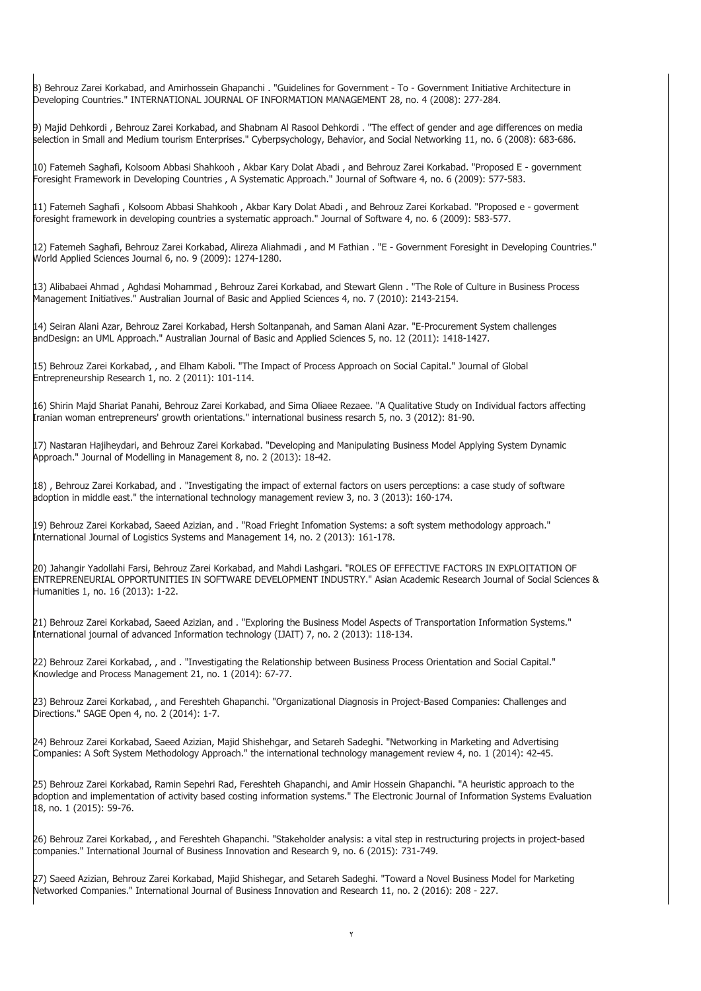8) Behrouz Zarei Korkabad, and Amirhossein Ghapanchi . "Guidelines for Government - To - Government Initiative Architecture in Developing Countries." INTERNATIONAL JOURNAL OF INFORMATION MANAGEMENT 28, no. 4 (2008): 277-284.

9) Majid Dehkordi , Behrouz Zarei Korkabad, and Shabnam Al Rasool Dehkordi . "The effect of gender and age differences on media selection in Small and Medium tourism Enterprises." Cyberpsychology, Behavior, and Social Networking 11, no. 6 (2008): 683-686.

10) Fatemeh Saghafi, Kolsoom Abbasi Shahkooh , Akbar Kary Dolat Abadi , and Behrouz Zarei Korkabad. "Proposed E - government Foresight Framework in Developing Countries , A Systematic Approach." Journal of Software 4, no. 6 (2009): 577-583.

11) Fatemeh Saghafi , Kolsoom Abbasi Shahkooh , Akbar Kary Dolat Abadi , and Behrouz Zarei Korkabad. "Proposed e - goverment foresight framework in developing countries a systematic approach." Journal of Software 4, no. 6 (2009): 583-577.

12) Fatemeh Saghafi, Behrouz Zarei Korkabad, Alireza Aliahmadi , and M Fathian . "E - Government Foresight in Developing Countries." World Applied Sciences Journal 6, no. 9 (2009): 1274-1280.

13) Alibabaei Ahmad , Aghdasi Mohammad , Behrouz Zarei Korkabad, and Stewart Glenn . "The Role of Culture in Business Process Management Initiatives." Australian Journal of Basic and Applied Sciences 4, no. 7 (2010): 2143-2154.

14) Seiran Alani Azar, Behrouz Zarei Korkabad, Hersh Soltanpanah, and Saman Alani Azar. "E-Procurement System challenges andDesign: an UML Approach." Australian Journal of Basic and Applied Sciences 5, no. 12 (2011): 1418-1427.

15) Behrouz Zarei Korkabad, , and Elham Kaboli. "The Impact of Process Approach on Social Capital." Journal of Global Entrepreneurship Research 1, no. 2 (2011): 101-114.

16) Shirin Majd Shariat Panahi, Behrouz Zarei Korkabad, and Sima Oliaee Rezaee. "A Qualitative Study on Individual factors affecting Iranian woman entrepreneurs' growth orientations." international business resarch 5, no. 3 (2012): 81-90.

17) Nastaran Hajiheydari, and Behrouz Zarei Korkabad. "Developing and Manipulating Business Model Applying System Dynamic Approach." Journal of Modelling in Management 8, no. 2 (2013): 18-42.

18) , Behrouz Zarei Korkabad, and . "Investigating the impact of external factors on users perceptions: a case study of software adoption in middle east." the international technology management review 3, no. 3 (2013): 160-174.

19) Behrouz Zarei Korkabad, Saeed Azizian, and . "Road Frieght Infomation Systems: a soft system methodology approach." International Journal of Logistics Systems and Management 14, no. 2 (2013): 161-178.

20) Jahangir Yadollahi Farsi, Behrouz Zarei Korkabad, and Mahdi Lashgari. "ROLES OF EFFECTIVE FACTORS IN EXPLOITATION OF ENTREPRENEURIAL OPPORTUNITIES IN SOFTWARE DEVELOPMENT INDUSTRY." Asian Academic Research Journal of Social Sciences & Humanities 1, no. 16 (2013): 1-22.

21) Behrouz Zarei Korkabad, Saeed Azizian, and . "Exploring the Business Model Aspects of Transportation Information Systems." International journal of advanced Information technology (IJAIT) 7, no. 2 (2013): 118-134.

22) Behrouz Zarei Korkabad, , and . "Investigating the Relationship between Business Process Orientation and Social Capital." Knowledge and Process Management 21, no. 1 (2014): 67-77.

23) Behrouz Zarei Korkabad, , and Fereshteh Ghapanchi. "Organizational Diagnosis in Project-Based Companies: Challenges and Directions." SAGE Open 4, no. 2 (2014): 1-7.

24) Behrouz Zarei Korkabad, Saeed Azizian, Majid Shishehgar, and Setareh Sadeghi. "Networking in Marketing and Advertising Companies: A Soft System Methodology Approach." the international technology management review 4, no. 1 (2014): 42-45.

25) Behrouz Zarei Korkabad, Ramin Sepehri Rad, Fereshteh Ghapanchi, and Amir Hossein Ghapanchi. "A heuristic approach to the adoption and implementation of activity based costing information systems." The Electronic Journal of Information Systems Evaluation 18, no. 1 (2015): 59-76.

26) Behrouz Zarei Korkabad, , and Fereshteh Ghapanchi. "Stakeholder analysis: a vital step in restructuring projects in project-based companies." International Journal of Business Innovation and Research 9, no. 6 (2015): 731-749.

27) Saeed Azizian, Behrouz Zarei Korkabad, Majid Shishegar, and Setareh Sadeghi. "Toward a Novel Business Model for Marketing Networked Companies." International Journal of Business Innovation and Research 11, no. 2 (2016): 208 - 227.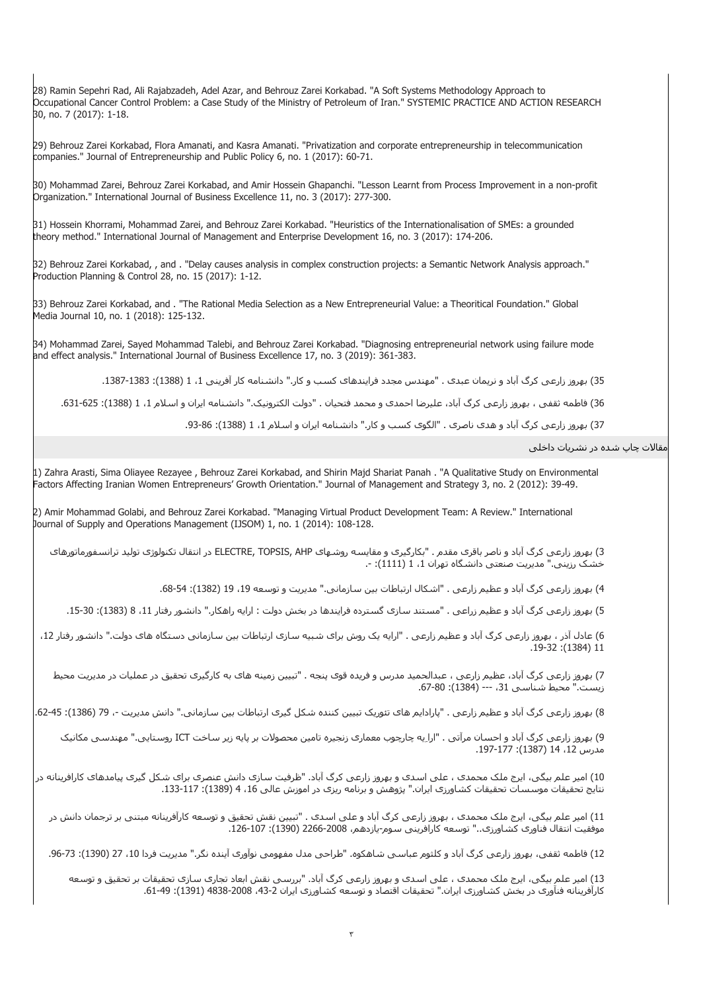28) Ramin Sepehri Rad, Ali Rajabzadeh, Adel Azar, and Behrouz Zarei Korkabad. "A Soft Systems Methodology Approach to Occupational Cancer Control Problem: a Case Study of the Ministry of Petroleum of Iran." SYSTEMIC PRACTICE AND ACTION RESEARCH 30, no. 7 (2017): 1-18.

29) Behrouz Zarei Korkabad, Flora Amanati, and Kasra Amanati. "Privatization and corporate entrepreneurship in telecommunication companies." Journal of Entrepreneurship and Public Policy 6, no. 1 (2017): 60-71.

30) Mohammad Zarei, Behrouz Zarei Korkabad, and Amir Hossein Ghapanchi. "Lesson Learnt from Process Improvement in a non-profit Organization." International Journal of Business Excellence 11, no. 3 (2017): 277-300.

31) Hossein Khorrami, Mohammad Zarei, and Behrouz Zarei Korkabad. "Heuristics of the Internationalisation of SMEs: a grounded theory method." International Journal of Management and Enterprise Development 16, no. 3 (2017): 174-206.

32) Behrouz Zarei Korkabad, , and . "Delay causes analysis in complex construction projects: a Semantic Network Analysis approach." Production Planning & Control 28, no. 15 (2017): 1-12.

33) Behrouz Zarei Korkabad, and . "The Rational Media Selection as a New Entrepreneurial Value: a Theoritical Foundation." Global Media Journal 10, no. 1 (2018): 125-132.

34) Mohammad Zarei, Sayed Mohammad Talebi, and Behrouz Zarei Korkabad. "Diagnosing entrepreneurial network using failure mode and effect analysis." International Journal of Business Excellence 17, no. 3 (2019): 361-383.

35) بهروز زارعى کرگ آباد و نريمان عبدى . "مهندس مجدد فرايندهاى کسب و کار." دانشنامه کار آفرينى ،1 1 (1388): .1387-1383

36) فاطمه ثقفى ، بهروز زارعى کرگ آباد، عليرضا احمدى و محمد فتحيان . "دولت الکترونيک." دانشنامه ايران و اسلام 1، 1 (1388): 625-631.

37) بهروز زارعى كرگ آباد و هدى ناصرى . "الگوى كسب و كار." دانشنامه ايران و اسلام 1، 1 (1388): 96-93.

مقالات چاپ شده در نشريات داخلى

1) Zahra Arasti, Sima Oliayee Rezayee , Behrouz Zarei Korkabad, and Shirin Majd Shariat Panah . "A Qualitative Study on Environmental Factors Affecting Iranian Women Entrepreneurs' Growth Orientation." Journal of Management and Strategy 3, no. 2 (2012): 39-49.

2) Amir Mohammad Golabi, and Behrouz Zarei Korkabad. "Managing Virtual Product Development Team: A Review." International Journal of Supply and Operations Management (IJSOM) 1, no. 1 (2014): 108-128.

3) بهروز زارعى کرگ آباد و ناصر باقرى مقدم . "بکارگيرى و مقايسه روشهاى AHP ,TOPSIS ,ELECTRE در انتقال تکنولوژى توليد ترانسفورماتورهاى خشک رزيني." مديريت صنعتى دانشگاه تهران 1، 1 (1111): -.

4) بهروز زارعى كرگ آباد و عظيم زارعى . "اشكال ارتباطات بين سازمانى." مديريت و توسعه 19، 19 (1382): 64-68.

5) بهروز زارعى کرگ آباد و عظيم زراعى . "مستند سازى گسترده فرايندها در بخش دولت : ارايه راهکار." دانشور رفتار ،11 8 (1383): .15-30

6) عادل آذر ، بهروز زارعى کرگ آباد و عظیم زارعى . "ارايه يک روش براى شبيه سازى ارتباطات بين سازمانى دستگاه هاى دولت." دانشور رفتار 12، .19-32 :(1384) 11

7) بهروز زارعى کرگ آباد، عظيم زارعى ، عبدالحميد مدرس و فريده قوى پنجه . "تبيين زمينه هاى به کارگيرى تحقيق در عمليات در مديريت محيط زيست." محيط شناسى ،31 --- (1384): .67-80

8) بهروز زارعى کرگ آباد و عظيم زارعى . "پارادايم هاى تئوريک تبيين کننده شکل گيرى ارتباطات بين سازمانى." دانش مديريت -، 79 (1386): 45-62.

9) بهروز زارعى کرگ آباد و احسان مرآتى . "اراِيه چارچوب معمارى زنجيره تامين محصولات بر پايه زير ساخت ICT روستايى." مهندسى مکانيک مدرس ،12 14 (1387): .197-177

10) امير علم بيگى، ايرج ملک محمدى ، على اسدى و بهروز زارعى کرگ آباد. "ظرفيت سازى دانش عنصرى براى شکل گيرى پيامدهاى کارافرينانه در نتايج تحقيقات موسسات تحقيقات کشاورزى ايران." پژوهش و برنامه ريزى در اموزش عالى 16، 4 (1389): 117-133.

11) امير علم بيگى، ايرج ملک محمدى ، بهروز زارعى کرگ آباد و على اسدى . "تبيين نقش تحقيق و توسعه کارآفرينانه مبتنى بر ترجمان دانش در موفقيت انتقال فناورى کشاورزى.." توسعه کارافرينى سوم-يازدهم، 2266-2008 (1390): .126-107

12) فاطمه ثقفى، بهروز زارعى كرگ آباد و كلثوم عباسى شاهکوه. "طراحى مدل مفهومى نوآورى آينده نگر." مديريت فردا 10، 27 (1390): 73-96.

13) امير علم بيگى، ايرج ملک محمدى ، على اسدى و بهروز زارعى کرگ آباد. "بررسى نقش ابعاد تجارى سازى تحقيقات بر تحقيق و توسعه کارآفرينانه فنآورى در بخش کشاورزى ايران." تحقيقات اقتصاد و توسعه کشاورزى ايران 2-43، 2008-1338 (1391): 49-61.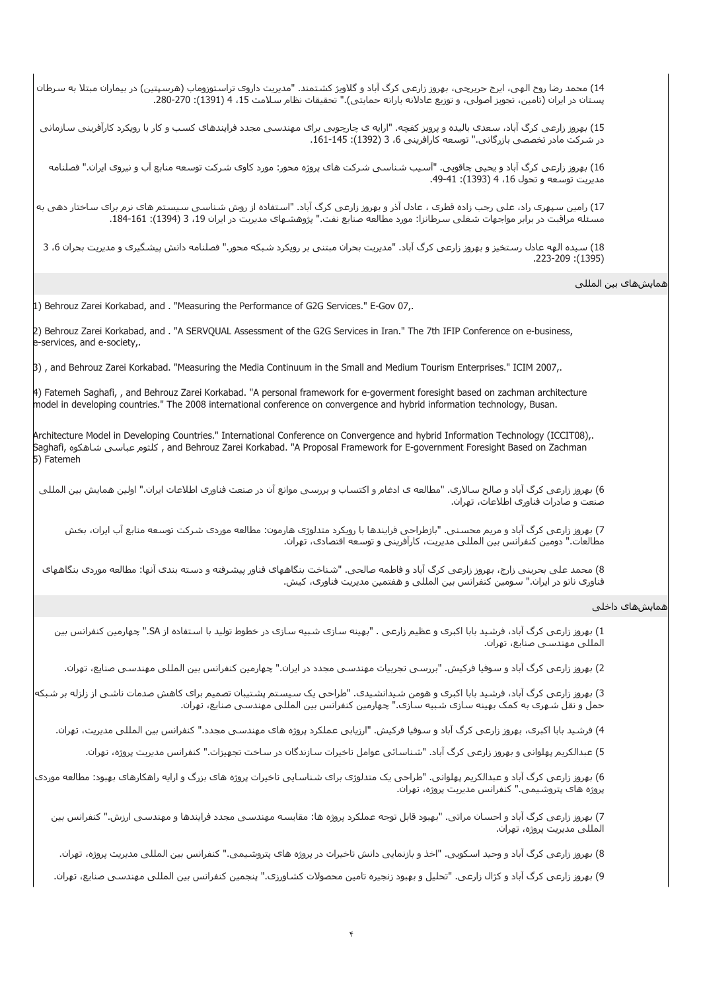14) محمد رضا روح الهى، ايرج حريرچى، بهروز زارعى کرگ آباد و گلاويژ کشتمند. "مديريت داروى تراستوزوماب (هرسپتين) در بيماران مبتلا به سرطان پستان در ايران (تامين، تجويز اصولي، و توزيع عادلانه يارانه حمايتي)." تحقيقات نظام سـلامت 15، 4 (1391): 270-280.

15) بهروز زارعى کرگ آباد، سعدى باليده و پرويز کفچه. "ارايه ى چارچوبى براى مهندسى مجدد فرايندهاى کسب و کار با رويکرد کارآفرينى سازمانى در شرکت مادر تخصصي بازرگاني." توسعه کارافريني 6، 3 (1392): 145-161.

16) بهروز زارعى کرگ آباد و يحيى چاقويى. "آسيب شناسى شرکت هاى پروژه محور: مورد کاوى شرکت توسعه منابع آب و نيروى ايران." فصلنامه مديريت توسعه و تحول 16، 4 (1393): 41-49.

17) رامين سپهرى راد، على رجب زاده قطرى ، عادل آذر و بهروز زارعى کرگ آباد. "استفاده از روش شناسى سيستم هاى نرم براى ساختار دهى به مسئله مراقبت در برابر مواجهات شغلی سرطانزا: مورد مطالعه صنایع نفت." پژوهشـهای مدیریت در ایران 19، 3 (1394): 161-164.

18) سيده الهه عادل رستخيز و بهروز زارعى کرگ آباد. "مديريت بحران مبتنى بر رويکرد شبکه محور." فصلنامه دانش پيشگيرى و مديريت بحران ،6 3 .223-209 :(1395)

## همايشهاى بين المللى

1) Behrouz Zarei Korkabad, and . "Measuring the Performance of G2G Services." E-Gov 07,.

2) Behrouz Zarei Korkabad, and . "A SERVQUAL Assessment of the G2G Services in Iran." The 7th IFIP Conference on e-business, e-services, and e-society,.

3) , and Behrouz Zarei Korkabad. "Measuring the Media Continuum in the Small and Medium Tourism Enterprises." ICIM 2007,.

4) Fatemeh Saghafi, , and Behrouz Zarei Korkabad. "A personal framework for e-goverment foresight based on zachman architecture model in developing countries." The 2008 international conference on convergence and hybrid information technology, Busan.

Architecture Model in Developing Countries." International Conference on Convergence and hybrid Information Technology (ICCIT08),. Saghafi, شاهکوه عباسى کلثوم , and Behrouz Zarei Korkabad. "A Proposal Framework for E-government Foresight Based on Zachman 5) Fatemeh

6) بهروز زارعى کرگ آباد و صالح سالارى. "مطالعه ى ادغام و اکتساب و بررسى موانع آن در صنعت فناورى اطلاعات ايران." اولين همايش بين المللى صنعت و صادرات فناورى اطلاعات، تهران.

7) بهروز زارعى کرگ آباد و مريم محسنى. "بازطراحى فرايندها با رويکرد متدلوژى هارمون: مطالعه موردى شرکت توسعه منابع آب ايران، بخش مطالعات." دومين کنفرانس بين المللى مديريت، کارآفرينى و توسعه اقتصادى، تهران.

8) محمد على بحرينى زارج، بهروز زارعى کرگ آباد و فاطمه صالحى. "شناخت بنگاههاى فناور پيشرفته و دسته بندى آنها: مطالعه موردى بنگاههاى فناورى نانو در ايران." سومين کنفرانس بين المللى و هفتمين مديريت فناورى، کيش.

## همايشهاى داخلى

1) بهروز زارعى کرگ آباد، فرشيد بابا اکبرى و عظيم زارعى . "بهينه سازى شبيه سازى در خطوط توليد با استفاده از SA. "چهارمين کنفرانس بين المللى مهندسى صنايع، تهران.

2) بهروز زارعى کرگ آباد و سوفيا فرکيش. "بررسى تجربيات مهندسى مجدد در ايران." چهارمين کنفرانس بين المللى مهندسى صنايع، تهران.

3) بهروز زارعى کرگ آباد، فرشيد بابا اکبرى و هومن شيدانشيدى. "طراحى يک سيستم پشتيبان تصميم براى کاهش صدمات ناشى از زلزله بر شبکه حمل و نقل شهرى به کمک بهينه سازى شبيه سازى." چهارمين کنفرانس بين المللى مهندسى صنايع، تهران.

4) فرشيد بابا اکبرى، بهروز زارعى کرگ آباد و سوفيا فرکيش. "ارزيابى عملکرد پروژه هاى مهندسى مجدد." کنفرانس بين المللى مديريت، تهران.

5) عبدالکريم پهلوانى و بهروز زارعى کرگ آباد. "شناسائى عوامل تاخيرات سازندگان در ساخت تجهيزات." کنفرانس مديريت پروژه، تهران.

6) بهروز زارعى کرگ آباد و عبدالکريم پهلوانى. "طراحى يک متدلوژى براى شناسايى تاخيرات پروژه هاى بزرگ و ارايه راهکارهاى بهبود: مطالعه موردى پروژه هاى پتروشيمى." کنفرانس مديريت پروژه، تهران.

7) بهروز زارعى کرگ آباد و احسان مراتى. "بهبود قابل توجه عملکرد پروژه ها: مقايسه مهندسى مجدد فرايندها و مهندسى ارزش." کنفرانس بين المللى مديريت پروژه، تهران.

8) بهروز زارعى کرگ آباد و وحيد اسکويى. "اخذ و بازنمايى دانش تاخيرات در پروژه هاى پتروشيمى." کنفرانس بين المللى مديريت پروژه، تهران.

9) بهروز زارعى کرگ آباد و کژال زارعى. "تحليل و بهبود زنجيره تامين محصولات کشاورزى." پنجمين کنفرانس بين المللى مهندسى صنايع، تهران.